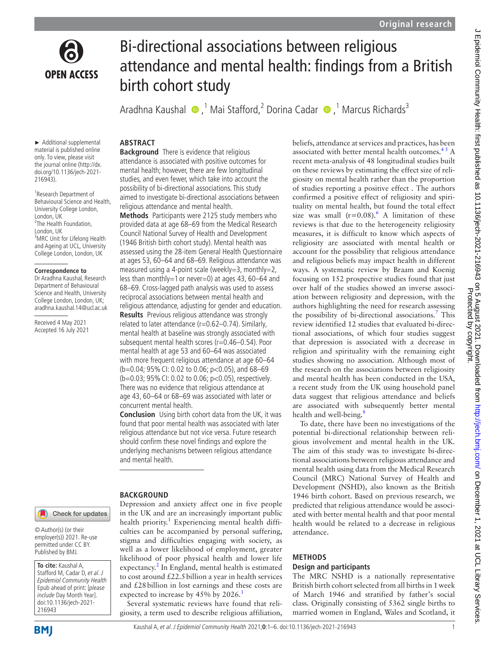

# Bi-directional associations between religious attendance and mental health: findings from a British birth cohort study

AradhnaKaushal  $\bullet$ ,<sup>1</sup> Mai Stafford,<sup>2</sup> Dorina Cadar  $\bullet$ ,<sup>1</sup> Marcus Richards<sup>3</sup>

### **ABSTRACT Background** There is evidence that religious

attendance is associated with positive outcomes for mental health; however, there are few longitudinal studies, and even fewer, which take into account the possibility of bi-directional associations. This study aimed to investigate bi-directional associations between

**Methods** Participants were 2125 study members who provided data at age 68–69 from the Medical Research Council National Survey of Health and Development (1946 British birth cohort study). Mental health was assessed using the 28-item General Health Questionnaire at ages 53, 60–64 and 68–69. Religious attendance was measured using a 4-point scale (weekly=3, monthly=2, less than monthly=1 or never=0) at ages 43, 60–64 and 68–69. Cross-lagged path analysis was used to assess reciprocal associations between mental health and religious attendance, adjusting for gender and education. **Results** Previous religious attendance was strongly related to later attendance (r=0.62-0.74). Similarly, mental health at baseline was strongly associated with subsequent mental health scores (r=0.46–0.54). Poor mental health at age 53 and 60–64 was associated with more frequent religious attendance at age 60–64 (b=0.04; 95%CI: 0.02 to 0.06; p<0.05), and 68–69 (b=0.03; 95%CI: 0.02 to 0.06; p<0.05), respectively. There was no evidence that religious attendance at age 43, 60–64 or 68–69 was associated with later or

religious attendance and mental health.

► Additional supplemental material is published online only. To view, please visit the journal online (http://dx. doi.org/10.1136/jech-2021- 216943).

1 Research Department of Behavioural Science and Health, University College London, London, UK <sup>2</sup>The Health Foundation, London, UK <sup>3</sup>MRC Unit for Lifelong Health and Ageing at UCL, University College London, London, UK

#### **Correspondence to**

Dr Aradhna Kaushal, Research Department of Behavioural Science and Health, University College London, London, UK; aradhna.kaushal.14@ucl.ac.uk

Received 4 May 2021 Accepted 16 July 2021

### **BACKGROUND**

and mental health.

concurrent mental health.

in the UK and are an increasingly important public health priority.<sup>1</sup> Experiencing mental health difficulties can be accompanied by personal suffering, stigma and difficulties engaging with society, as well as a lower likelihood of employment, greater likelihood of poor physical health and lower life expectancy.<sup>[2](#page-4-1)</sup> In England, mental health is estimated to cost around  $£22.5$  billion a year in health services and £28billion in lost earnings and these costs are expected to increase by 45% by 2026.<sup>[3](#page-4-2)</sup>

Several systematic reviews have found that religiosity, a term used to describe religious affiliation,

**Conclusion** Using birth cohort data from the UK, it was found that poor mental health was associated with later religious attendance but not vice versa. Future research should confirm these novel findings and explore the underlying mechanisms between religious attendance

Depression and anxiety affect one in five people

beliefs, attendance at services and practices, has been associated with better mental health outcomes. $45$  A recent meta-analysis of 48 longitudinal studies built on these reviews by estimating the effect size of religiosity on mental health rather than the proportion of studies reporting a positive effect . The authors confirmed a positive effect of religiosity and spirituality on mental health, but found the total effect size was small  $(r=0.08)$ .<sup>[6](#page-4-4)</sup> A limitation of these reviews is that due to the heterogeneity religiosity measures, it is difficult to know which aspects of religiosity are associated with mental health or account for the possibility that religious attendance and religious beliefs may impact health in different ways. A systematic review by Braam and Koenig focusing on 152 prospective studies found that just over half of the studies showed an inverse association between religiosity and depression, with the authors highlighting the need for research assessing the possibility of bi-directional associations.<sup>7</sup> This review identified 12 studies that evaluated bi-directional associations, of which four studies suggest that depression is associated with a decrease in religion and spirituality with the remaining eight studies showing no association. Although most of the research on the associations between religiosity and mental health has been conducted in the USA, a recent study from the UK using household panel data suggest that religious attendance and beliefs are associated with subsequently better mental health and well-being.<sup>[8](#page-4-6)</sup>

To date, there have been no investigations of the potential bi-directional relationship between religious involvement and mental health in the UK. The aim of this study was to investigate bi-directional associations between religious attendance and mental health using data from the Medical Research Council (MRC) National Survey of Health and Development (NSHD), also known as the British 1946 birth cohort. Based on previous research, we predicted that religious attendance would be associated with better mental health and that poor mental health would be related to a decrease in religious attendance.

### **METHODS**

# **Design and participants**

The MRC NSHD is a nationally representative British birth cohort selected from all births in 1week of March 1946 and stratified by father's social class. Originally consisting of 5362 single births to married women in England, Wales and Scotland, it

216943

**To cite:** Kaushal A, Stafford M, Cadar D, et al. J Epidemiol Community Health Epub ahead of print: [please include Day Month Year]. doi:10.1136/jech-2021-

© Author(s) (or their employer(s)) 2021. Re-use permitted under CC BY. Published by BMJ.

Check for updates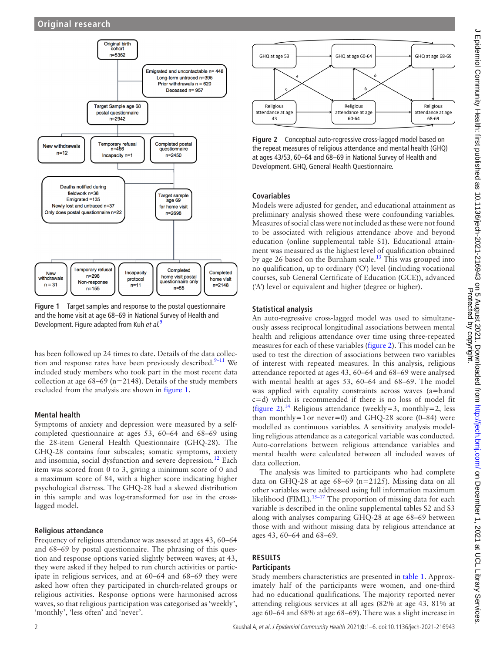

<span id="page-1-0"></span>**Figure 1** Target samples and response to the postal questionnaire and the home visit at age 68–69 in National Survey of Health and Development. Figure adapted from Kuh *et al.*[9](#page-4-7)

has been followed up 24 times to date. Details of the data collection and response rates have been previously described. $9-11$  We included study members who took part in the most recent data collection at age  $68-69$  (n=2148). Details of the study members excluded from the analysis are shown in [figure](#page-1-0) 1.

# **Mental health**

Symptoms of anxiety and depression were measured by a selfcompleted questionnaire at ages 53, 60–64 and 68–69 using the 28-item General Health Questionnaire (GHQ-28). The GHQ-28 contains four subscales; somatic symptoms, anxiety and insomnia, social dysfunction and severe depression.<sup>12</sup> Each item was scored from 0 to 3, giving a minimum score of 0 and a maximum score of 84, with a higher score indicating higher psychological distress. The GHQ-28 had a skewed distribution in this sample and was log-transformed for use in the crosslagged model.

# **Religious attendance**

Frequency of religious attendance was assessed at ages 43, 60–64 and 68–69 by postal questionnaire. The phrasing of this question and response options varied slightly between waves; at 43, they were asked if they helped to run church activities or participate in religious services, and at 60–64 and 68–69 they were asked how often they participated in church-related groups or religious activities. Response options were harmonised across waves, so that religious participation was categorised as 'weekly', 'monthly', 'less often' and 'never'.



<span id="page-1-1"></span>**Figure 2** Conceptual auto-regressive cross-lagged model based on the repeat measures of religious attendance and mental health (GHQ) at ages 43/53, 60–64 and 68–69 in National Survey of Health and Development. GHQ, General Health Questionnaire.

# **Covariables**

Models were adjusted for gender, and educational attainment as preliminary analysis showed these were confounding variables. Measures of social class were not included as these were not found to be associated with religious attendance above and beyond education ([online supplemental table S1](https://dx.doi.org/10.1136/jech-2021-216943)). Educational attainment was measured as the highest level of qualification obtained by age 26 based on the Burnham scale.<sup>13</sup> This was grouped into no qualification, up to ordinary ('O') level (including vocational courses, sub General Certificate of Education (GCE)), advanced ('A') level or equivalent and higher (degree or higher).

# **Statistical analysis**

An auto-regressive cross-lagged model was used to simultaneously assess reciprocal longitudinal associations between mental health and religious attendance over time using three-repeated measures for each of these variables [\(figure](#page-1-1) 2). This model can be used to test the direction of associations between two variables of interest with repeated measures. In this analysis, religious attendance reported at ages 43, 60–64 and 68–69 were analysed with mental health at ages 53, 60–64 and 68–69. The model was applied with equality constraints across waves (a=band c=d) which is recommended if there is no loss of model fit ([figure](#page-1-1) 2).<sup>14</sup> Religious attendance (weekly=3, monthly=2, less than monthly=1or never=0) and GHQ-28 score  $(0-84)$  were modelled as continuous variables. A sensitivity analysis modelling religious attendance as a categorical variable was conducted. Auto-correlations between religious attendance variables and mental health were calculated between all included waves of data collection.

The analysis was limited to participants who had complete data on GHQ-28 at age 68–69 (n=2125). Missing data on all other variables were addressed using full information maximum likelihood (FIML). $15-17$  The proportion of missing data for each variable is described in the [online supplemental tables S2 and S3](https://dx.doi.org/10.1136/jech-2021-216943) along with analyses comparing GHQ-28 at age 68–69 between those with and without missing data by religious attendance at ages 43, 60–64 and 68–69.

### **RESULTS Participants**

Study members characteristics are presented in [table](#page-2-0) 1. Approximately half of the participants were women, and one-third had no educational qualifications. The majority reported never attending religious services at all ages (82% at age 43, 81% at age 60–64 and 68% at age 68–69). There was a slight increase in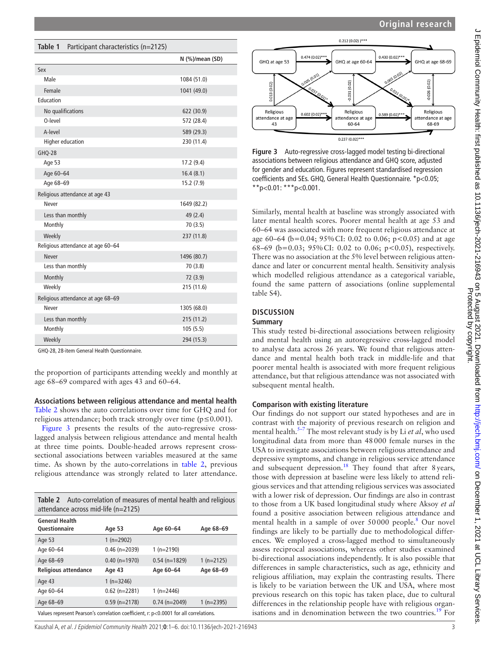<span id="page-2-0"></span>

| Table 1<br>Participant characteristics (n=2125) |                 |  |  |  |  |
|-------------------------------------------------|-----------------|--|--|--|--|
|                                                 | N (%)/mean (SD) |  |  |  |  |
| Sex                                             |                 |  |  |  |  |
| Male                                            | 1084 (51.0)     |  |  |  |  |
| Female<br>1041 (49.0)                           |                 |  |  |  |  |
| Education                                       |                 |  |  |  |  |
| No qualifications                               | 622 (30.9)      |  |  |  |  |
| 0-level<br>572 (28.4)                           |                 |  |  |  |  |
| A-level<br>589 (29.3)                           |                 |  |  |  |  |
| <b>Higher education</b><br>230 (11.4)           |                 |  |  |  |  |
| GHQ-28                                          |                 |  |  |  |  |
| Age 53                                          | 17.2 (9.4)      |  |  |  |  |
| Age 60-64                                       | 16.4(8.1)       |  |  |  |  |
| Age 68-69                                       | 15.2 (7.9)      |  |  |  |  |
| Religious attendance at age 43                  |                 |  |  |  |  |
| Never                                           | 1649 (82.2)     |  |  |  |  |
| Less than monthly                               | 49 (2.4)        |  |  |  |  |
| Monthly                                         | 70(3.5)         |  |  |  |  |
| Weekly                                          | 237 (11.8)      |  |  |  |  |
| Religious attendance at age 60-64               |                 |  |  |  |  |
| <b>Never</b>                                    | 1496 (80.7)     |  |  |  |  |
| Less than monthly                               | 70 (3.8)        |  |  |  |  |
| Monthly                                         | 72 (3.9)        |  |  |  |  |
| Weekly                                          | 215 (11.6)      |  |  |  |  |
| Religious attendance at age 68-69               |                 |  |  |  |  |
| Never                                           | 1305 (68.0)     |  |  |  |  |
| Less than monthly                               | 215 (11.2)      |  |  |  |  |
| Monthly                                         | 105(5.5)        |  |  |  |  |
| Weekly                                          | 294 (15.3)      |  |  |  |  |

GHQ-28, 28-item General Health Questionnaire.

the proportion of participants attending weekly and monthly at age 68–69 compared with ages 43 and 60–64.

### **Associations between religious attendance and mental health** [Table](#page-2-1) 2 shows the auto correlations over time for GHQ and for religious attendance; both track strongly over time ( $p \le 0.001$ ).

[Figure](#page-2-2) 3 presents the results of the auto-regressive crosslagged analysis between religious attendance and mental health at three time points. Double-headed arrows represent crosssectional associations between variables measured at the same time. As shown by the auto-correlations in [table](#page-2-1) 2, previous religious attendance was strongly related to later attendance.

<span id="page-2-1"></span>

| <b>Table 2</b> Auto-correlation of measures of mental health and religious |
|----------------------------------------------------------------------------|
| attendance across mid-life (n=2125)                                        |

| <b>General Health</b>                                                                 |                 |                 |             |  |
|---------------------------------------------------------------------------------------|-----------------|-----------------|-------------|--|
| Questionnaire                                                                         | Age 53          | Age 60-64       | Age 68-69   |  |
| Age 53                                                                                | $1(n=2902)$     |                 |             |  |
| Age 60-64                                                                             | $0.46$ (n=2039) | $1(n=2190)$     |             |  |
| Age 68-69                                                                             | $0.40$ (n=1970) | $0.54$ (n=1829) | $1(n=2125)$ |  |
| <b>Religious attendance</b>                                                           | Age 43          | Age 60-64       | Age 68-69   |  |
| Age 43                                                                                | 1 $(n=3246)$    |                 |             |  |
| Age 60-64                                                                             | $0.62$ (n=2281) | 1 $(n=2446)$    |             |  |
| Age 68-69                                                                             | $0.59$ (n=2178) | $0.74$ (n=2049) | $1(n=2395)$ |  |
| Values represent Pearson's correlation coefficient. r: p<0.0001 for all correlations. |                 |                 |             |  |

0.212 (0.02) 1\*\*\*  $0.474(0.02)^*$  $0.430(0.02)$ \* GHO at age 60-64 GHO at age 53 GHQ at age 68-69  $(0.02)$  $0.031(0.02)$ 1.013 (0.02) 0.026 Religious Religious Religious  $0.602(0.02)$ \*\*  $0.589(0.02)$ \*\* attendance at age attendance at age attendance at age  $43$ 60-64 68-69  $0.237(0.02)$ \*\*\*

<span id="page-2-2"></span>**Figure 3** Auto-regressive cross-lagged model testing bi-directional associations between religious attendance and GHQ score, adjusted for gender and education. Figures represent standardised regression coefficients and SEs. GHQ, General Health Questionnaire. \*p<0.05; \*\*p<0.01: \*\*\*p<0.001.

Similarly, mental health at baseline was strongly associated with later mental health scores. Poorer mental health at age 53 and 60–64 was associated with more frequent religious attendance at age 60–64 (b=0.04; 95%CI: 0.02 to 0.06; p<0.05) and at age 68–69 (b=0.03; 95% CI: 0.02 to 0.06; p<0.05), respectively. There was no association at the 5% level between religious attendance and later or concurrent mental health. Sensitivity analysis which modelled religious attendance as a categorical variable, found the same pattern of associations [\(online supplemental](https://dx.doi.org/10.1136/jech-2021-216943) [table S4](https://dx.doi.org/10.1136/jech-2021-216943)).

# **DISCUSSION**

# **Summary**

This study tested bi-directional associations between religiosity and mental health using an autoregressive cross-lagged model to analyse data across 26 years. We found that religious attendance and mental health both track in middle-life and that poorer mental health is associated with more frequent religious attendance, but that religious attendance was not associated with subsequent mental health.

# **Comparison with existing literature**

Our findings do not support our stated hypotheses and are in contrast with the majority of previous research on religion and mental health[.5–7](#page-4-12) The most relevant study is by Li *et al*, who used longitudinal data from more than 48000 female nurses in the USA to investigate associations between religious attendance and depressive symptoms, and change in religious service attendance and subsequent depression.<sup>18</sup> They found that after 8 years, those with depression at baseline were less likely to attend religious services and that attending religious services was associated with a lower risk of depression. Our findings are also in contrast to those from a UK based longitudinal study where Aksoy *et al* found a positive association between religious attendance and mental health in a sample of over 50000 people.<sup>[8](#page-4-6)</sup> Our novel findings are likely to be partially due to methodological differences. We employed a cross-lagged method to simultaneously assess reciprocal associations, whereas other studies examined bi-directional associations independently. It is also possible that differences in sample characteristics, such as age, ethnicity and religious affiliation, may explain the contrasting results. There is likely to be variation between the UK and USA, where most previous research on this topic has taken place, due to cultural differences in the relationship people have with religious organisations and in denomination between the two countries.<sup>19</sup> For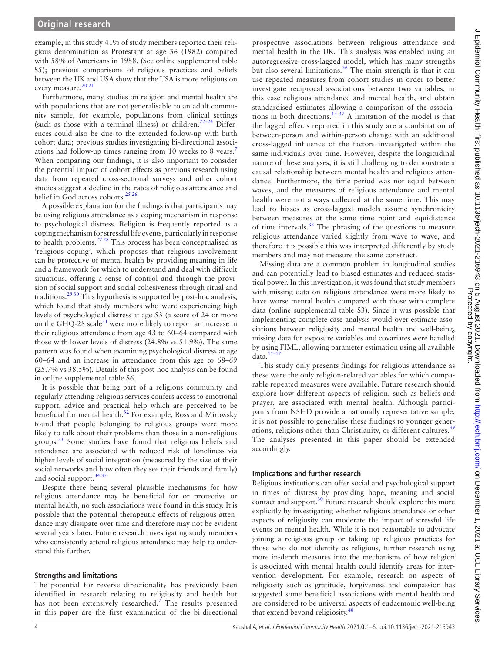example, in this study 41% of study members reported their religious denomination as Protestant at age 36 (1982) compared with 58% of Americans in 1988. (See [online supplemental table](https://dx.doi.org/10.1136/jech-2021-216943)  [S5\)](https://dx.doi.org/10.1136/jech-2021-216943); previous comparisons of religious practices and beliefs between the UK and USA show that the USA is more religious on every measure.<sup>20 21</sup>

Furthermore, many studies on religion and mental health are with populations that are not generalisable to an adult community sample, for example, populations from clinical settings (such as those with a terminal illness) or children.<sup>22-24</sup> Differences could also be due to the extended follow-up with birth cohort data; previous studies investigating bi-directional associ-ations had follow-up times ranging from 10 weeks to 8 years.<sup>[7](#page-4-5)</sup> When comparing our findings, it is also important to consider the potential impact of cohort effects as previous research using data from repeated cross-sectional surveys and other cohort studies suggest a decline in the rates of religious attendance and belief in God across cohorts.<sup>25 26</sup>

A possible explanation for the findings is that participants may be using religious attendance as a coping mechanism in response to psychological distress. Religion is frequently reported as a coping mechanism for stressful life events, particularly in response to health problems.<sup>[27 28](#page-5-0)</sup> This process has been conceptualised as 'religious coping', which proposes that religious involvement can be protective of mental health by providing meaning in life and a framework for which to understand and deal with difficult situations, offering a sense of control and through the provision of social support and social cohesiveness through ritual and traditions.[29 30](#page-5-1) This hypothesis is supported by post-hoc analysis, which found that study members who were experiencing high levels of psychological distress at age 53 (a score of 24 or more on the GHQ-28 scale $31$  were more likely to report an increase in their religious attendance from age 43 to 60–64 compared with those with lower levels of distress (24.8% vs 51.9%). The same pattern was found when examining psychological distress at age 60–64 and an increase in attendance from this age to 68–69 (25.7% vs 38.5%). Details of this post-hoc analysis can be found in [online supplemental table S6.](https://dx.doi.org/10.1136/jech-2021-216943)

It is possible that being part of a religious community and regularly attending religious services confers access to emotional support, advice and practical help which are perceived to be beneficial for mental health.<sup>32</sup> For example, Ross and Mirowsky found that people belonging to religious groups were more likely to talk about their problems than those in a non-religious groups.[33](#page-5-4) Some studies have found that religious beliefs and attendance are associated with reduced risk of loneliness via higher levels of social integration (measured by the size of their social networks and how often they see their friends and family) and social support.<sup>[34 35](#page-5-5)</sup>

Despite there being several plausible mechanisms for how religious attendance may be beneficial for or protective or mental health, no such associations were found in this study. It is possible that the potential therapeutic effects of religious attendance may dissipate over time and therefore may not be evident several years later. Future research investigating study members who consistently attend religious attendance may help to understand this further.

### **Strengths and limitations**

The potential for reverse directionality has previously been identified in research relating to religiosity and health but has not been extensively researched.<sup>[7](#page-4-5)</sup> The results presented in this paper are the first examination of the bi-directional

prospective associations between religious attendance and mental health in the UK. This analysis was enabled using an autoregressive cross-lagged model, which has many strengths but also several limitations. $36$  The main strength is that it can use repeated measures from cohort studies in order to better investigate reciprocal associations between two variables, in this case religious attendance and mental health, and obtain standardised estimates allowing a comparison of the associations in both directions.<sup>14 37</sup> A limitation of the model is that the lagged effects reported in this study are a combination of between-person and within-person change with an additional cross-lagged influence of the factors investigated within the same individuals over time. However, despite the longitudinal nature of these analyses, it is still challenging to demonstrate a causal relationship between mental health and religious attendance. Furthermore, the time period was not equal between waves, and the measures of religious attendance and mental health were not always collected at the same time. This may lead to biases as cross-lagged models assume synchronicity between measures at the same time point and equidistance of time intervals. $38$  The phrasing of the questions to measure religious attendance varied slightly from wave to wave, and therefore it is possible this was interpreted differently by study members and may not measure the same construct.

Missing data are a common problem in longitudinal studies and can potentially lead to biased estimates and reduced statistical power. In this investigation, it was found that study members with missing data on religious attendance were more likely to have worse mental health compared with those with complete data ([online supplemental table S3](https://dx.doi.org/10.1136/jech-2021-216943)). Since it was possible that implementing complete case analysis would over-estimate associations between religiosity and mental health and well-being, missing data for exposure variables and covariates were handled by using FIML, allowing parameter estimation using all available data. $15-1$ 

This study only presents findings for religious attendance as these were the only religion-related variables for which comparable repeated measures were available. Future research should explore how different aspects of religion, such as beliefs and prayer, are associated with mental health. Although participants from NSHD provide a nationally representative sample, it is not possible to generalise these findings to younger gener-ations, religions other than Christianity, or different cultures.<sup>[39](#page-5-8)</sup> The analyses presented in this paper should be extended accordingly.

# **Implications and further research**

Religious institutions can offer social and psychological support in times of distress by providing hope, meaning and social contact and support.<sup>30</sup> Future research should explore this more explicitly by investigating whether religious attendance or other aspects of religiosity can moderate the impact of stressful life events on mental health. While it is not reasonable to advocate joining a religious group or taking up religious practices for those who do not identify as religious, further research using more in-depth measures into the mechanisms of how religion is associated with mental health could identify areas for intervention development. For example, research on aspects of religiosity such as gratitude, forgiveness and compassion has suggested some beneficial associations with mental health and are considered to be universal aspects of eudaemonic well-being that extend beyond religiosity.<sup>[40](#page-5-10)</sup>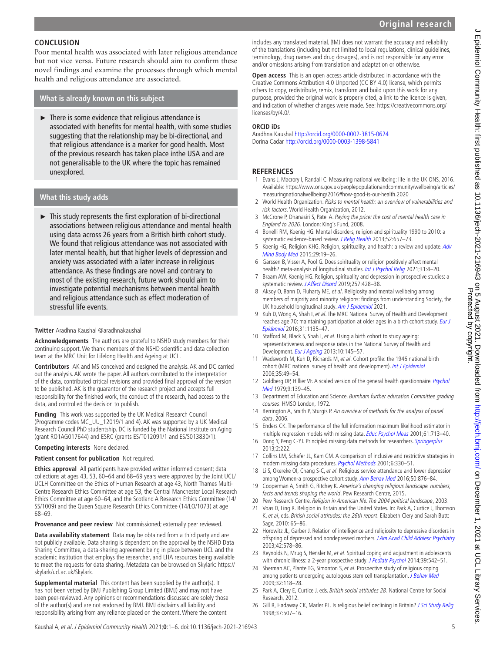# **CONCLUSION**

Poor mental health was associated with later religious attendance but not vice versa. Future research should aim to confirm these novel findings and examine the processes through which mental health and religious attendance are associated.

# **What is already known on this subject**

► There is some evidence that religious attendance is associated with benefits for mental health, with some studies suggesting that the relationship may be bi-directional, and that religious attendance is a marker for good health. Most of the previous research has taken place inthe USA and are not generalisable to the UK where the topic has remained unexplored.

## **What this study adds**

► This study represents the first exploration of bi-directional associations between religious attendance and mental health using data across 26 years from a British birth cohort study. We found that religious attendance was not associated with later mental health, but that higher levels of depression and anxiety was associated with a later increase in religious attendance. As these findings are novel and contrary to most of the existing research, future work should aim to investigate potential mechanisms between mental health and religious attendance such as effect moderation of stressful life events.

### **Twitter** Aradhna Kaushal [@aradhnakaushal](https://twitter.com/aradhnakaushal)

**Acknowledgements** The authors are grateful to NSHD study members for their continuing support. We thank members of the NSHD scientific and data collection team at the MRC Unit for Lifelong Health and Ageing at UCL.

**Contributors** AK and MS conceived and designed the analysis. AK and DC carried out the analysis. AK wrote the paper. All authors contributed to the interpretation of the data, contributed critical revisions and provided final approval of the version to be published. AK is the guarantor of the research project and accepts full responsibility for the finished work, the conduct of the research, had access to the data, and controlled the decision to publish.

**Funding** This work was supported by the UK Medical Research Council (Programme codes MC\_UU\_12019/1 and 4). AK was supported by a UK Medical Research Council PhD studentship. DC is funded by the National Institute on Aging (grant RO1AG017644) and ESRC (grants ES/T012091/1 and ES/S013830/1).

### **Competing interests** None declared.

### **Patient consent for publication** Not required.

**Ethics approval** All participants have provided written informed consent; data collections at ages 43, 53, 60–64 and 68–69 years were approved by the Joint UCL/ UCLH Committee on the Ethics of Human Research at age 43, North Thames Multi-Centre Research Ethics Committee at age 53, the Central Manchester Local Research Ethics Committee at age 60–64, and the Scotland A Research Ethics Committee (14/ SS/1009) and the Queen Square Research Ethics Committee (14/LO/1073) at age 68–69.

**Provenance and peer review** Not commissioned; externally peer reviewed.

**Data availability statement** Data may be obtained from a third party and are not publicly available. Data sharing is dependent on the approval by the NSHD Data Sharing Committee, a data-sharing agreement being in place between UCL and the academic institution that employs the researcher, and LHA resources being available to meet the requests for data sharing. Metadata can be browsed on Skylark: [https://](https://skylark/ucl.ac.uk/Skylark) [skylark/ucl.ac.uk/Skylark.](https://skylark/ucl.ac.uk/Skylark)

**Supplemental material** This content has been supplied by the author(s). It has not been vetted by BMJ Publishing Group Limited (BMJ) and may not have been peer-reviewed. Any opinions or recommendations discussed are solely those of the author(s) and are not endorsed by BMJ. BMJ disclaims all liability and responsibility arising from any reliance placed on the content. Where the content

includes any translated material, BMJ does not warrant the accuracy and reliability of the translations (including but not limited to local regulations, clinical guidelines, terminology, drug names and drug dosages), and is not responsible for any error and/or omissions arising from translation and adaptation or otherwise.

**Open access** This is an open access article distributed in accordance with the Creative Commons Attribution 4.0 Unported (CC BY 4.0) license, which permits others to copy, redistribute, remix, transform and build upon this work for any purpose, provided the original work is properly cited, a link to the licence is given, and indication of whether changes were made. See: [https://creativecommons.org/](https://creativecommons.org/licenses/by/4.0/) [licenses/by/4.0/.](https://creativecommons.org/licenses/by/4.0/)

### **ORCID iDs**

Aradhna Kaushal<http://orcid.org/0000-0002-3815-0624> Dorina Cadar<http://orcid.org/0000-0003-1398-5841>

### **REFERENCES**

- <span id="page-4-0"></span>1 Evans J, Macrory I, Randall C. Measuring national wellbeing: life in the UK ONS, 2016. Available: [https://www.ons.gov.uk/peoplepopulationandcommunity/wellbeing/articles/](https://www.ons.gov.uk/peoplepopulationandcommunity/wellbeing/articles/measuringnationalwellbeing/2016#how-good-is-our-health.2020) [measuringnationalwellbeing/2016#how-good-is-our-health.2020](https://www.ons.gov.uk/peoplepopulationandcommunity/wellbeing/articles/measuringnationalwellbeing/2016#how-good-is-our-health.2020)
- <span id="page-4-1"></span>2 World Health Organization. Risks to mental health: an overview of vulnerabilities and risk factors. World Health Organization, 2012.
- <span id="page-4-2"></span>3 McCrone P, Dhanasiri S, Patel A. Paying the price: the cost of mental health care in England to 2026. London: King's Fund, 2008.
- <span id="page-4-3"></span>4 Bonelli RM, Koenig HG. Mental disorders, religion and spirituality 1990 to 2010: a systematic evidence-based review. [J Relig Health](http://dx.doi.org/10.1007/s10943-013-9691-4) 2013;52:657-73.
- <span id="page-4-12"></span>5 Koenig HG, Religion KHG. Religion, spirituality, and health: a review and update. Adv [Mind Body Med](http://www.ncbi.nlm.nih.gov/pubmed/26026153) 2015;29:19–26.
- <span id="page-4-4"></span>6 Garssen B, Visser A, Pool G. Does spirituality or religion positively affect mental health? meta-analysis of longitudinal studies. [Int J Psychol Relig](http://dx.doi.org/10.1080/10508619.2020.1729570) 2021;31:4-20.
- <span id="page-4-5"></span>7 Braam AW, Koenig HG. Religion, spirituality and depression in prospective studies: a systematic review. [J Affect Disord](http://dx.doi.org/10.1016/j.jad.2019.06.063) 2019;257:428-38.
- <span id="page-4-6"></span>8 Aksoy O, Bann D, Fluharty ME, et al. Religiosity and mental wellbeing among members of majority and minority religions: findings from understanding Society, the UK household longitudinal study. [Am J Epidemiol](http://dx.doi.org/10.1093/aje/kwab133) 2021.
- <span id="page-4-7"></span>9 Kuh D, Wong A, Shah I, et al. The MRC National Survey of Health and Development reaches age 70: maintaining participation at older ages in a birth cohort study. Eur J [Epidemiol](http://dx.doi.org/10.1007/s10654-016-0217-8) 2016;31:1135–47.
- 10 Stafford M, Black S, Shah I, et al. Using a birth cohort to study ageing: representativeness and response rates in the National Survey of Health and Development. [Eur J Ageing](http://dx.doi.org/10.1007/s10433-013-0258-8) 2013;10:145-57.
- 11 Wadsworth M, Kuh D, Richards M, et al. Cohort profile: the 1946 national birth cohort (MRC national survey of health and development). [Int J Epidemiol](http://dx.doi.org/10.1093/ije/dyi201) 2006;35:49–54.
- <span id="page-4-8"></span>12 Goldberg DP, Hillier VF. A scaled version of the general health questionnaire. Psychol [Med](http://dx.doi.org/10.1017/S0033291700021644) 1979;9:139–45.
- <span id="page-4-9"></span>13 Department of Education and Science. Burnham further education Committee grading courses. HMSO London, 1972.
- <span id="page-4-10"></span>14 Berrington A, Smith P, Sturgis P. An overview of methods for the analysis of panel data, 2006.
- <span id="page-4-11"></span>15 Enders CK. The performance of the full information maximum likelihood estimator in multiple regression models with missing data. [Educ Psychol Meas](http://dx.doi.org/10.1177/0013164401615001) 2001;61:713-40.
- 16 Dong Y, Peng C-YJ. Principled missing data methods for researchers. [Springerplus](http://dx.doi.org/10.1186/2193-1801-2-222) 2013;2:222.
- 17 Collins LM, Schafer JL, Kam CM. A comparison of inclusive and restrictive strategies in modern missing data procedures. [Psychol Methods](http://dx.doi.org/10.1037/1082-989X.6.4.330) 2001;6:330–51.
- <span id="page-4-13"></span>18 Li S, Okereke OI, Chang S-C, et al. Religious service attendance and lower depression among Women-a prospective cohort study. [Ann Behav Med](http://dx.doi.org/10.1007/s12160-016-9813-9) 2016;50:876-84.
- <span id="page-4-14"></span>19 Cooperman A, Smith G, Ritchey K. America's changing religious landscape. numbers, facts and trends shaping the world. Pew Research Centre, 2015.
- <span id="page-4-15"></span>20 Pew Research Centre. Religion in American life. The 2004 political landscape, 2003.
- 21 Voas D, Ling R. Religion in Britain and the United States. In: Park A, Curtice J, Thomson K, et al, eds. British social attitudes: the 26th report. Elizabeth Clery and Sarah Butt: Sage, 2010: 65-86.
- <span id="page-4-16"></span>22 Horowitz JL, Garber J. Relation of intelligence and religiosity to depressive disorders in offspring of depressed and nondepressed mothers. [J Am Acad Child Adolesc Psychiatry](http://dx.doi.org/10.1097/01.CHI.0000046831.09750.03) 2003;42:578–86.
- 23 Reynolds N, Mrug S, Hensler M, et al. Spiritual coping and adjustment in adolescents with chronic illness: a 2-year prospective study. [J Pediatr Psychol](http://dx.doi.org/10.1093/jpepsy/jsu011) 2014;39:542-51.
- 24 Sherman AC, Plante TG, Simonton S, et al. Prospective study of religious coping among patients undergoing autologous stem cell transplantation. [J Behav Med](http://dx.doi.org/10.1007/s10865-008-9179-y) 2009;32:118–28.
- <span id="page-4-17"></span>25 Park A, Clery E, Curtice J, eds. British social attitudes 28. National Centre for Social Research, 2012.
- 26 Gill R, Hadaway CK, Marler PL. Is religious belief declining in Britain? [J Sci Study Relig](http://dx.doi.org/10.2307/1388057) 1998;37:507–16.